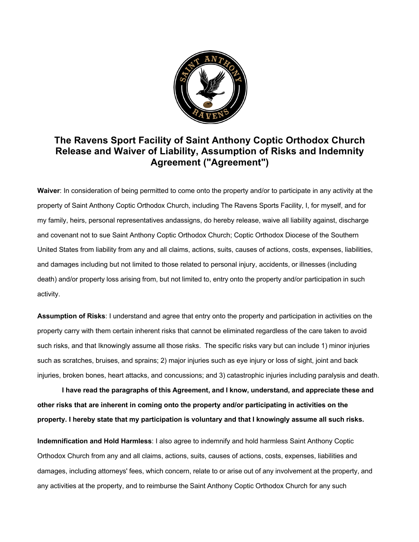

## **The Ravens Sport Facility of Saint Anthony Coptic Orthodox Church Release and Waiver of Liability, Assumption of Risks and Indemnity Agreement ("Agreement")**

**Waiver**: In consideration of being permitted to come onto the property and/or to participate in any activity at the property of Saint Anthony Coptic Orthodox Church, including The Ravens Sports Facility, I, for myself, and for my family, heirs, personal representatives andassigns, do hereby release, waive all liability against, discharge and covenant not to sue Saint Anthony Coptic Orthodox Church; Coptic Orthodox Diocese of the Southern United States from liability from any and all claims, actions, suits, causes of actions, costs, expenses, liabilities, and damages including but not limited to those related to personal injury, accidents, or illnesses (including death) and/or property loss arising from, but not limited to, entry onto the property and/or participation in such activity.

**Assumption of Risks**: I understand and agree that entry onto the property and participation in activities on the property carry with them certain inherent risks that cannot be eliminated regardless of the care taken to avoid such risks, and that Iknowingly assume all those risks. The specific risks vary but can include 1) minor injuries such as scratches, bruises, and sprains; 2) major injuries such as eye injury or loss of sight, joint and back injuries, broken bones, heart attacks, and concussions; and 3) catastrophic injuries including paralysis and death.

**I have read the paragraphs of this Agreement, and I know, understand, and appreciate these and other risks that are inherent in coming onto the property and/or participating in activities on the property. I hereby state that my participation is voluntary and that I knowingly assume all such risks.**

**Indemnification and Hold Harmless**: I also agree to indemnify and hold harmless Saint Anthony Coptic Orthodox Church from any and all claims, actions, suits, causes of actions, costs, expenses, liabilities and damages, including attorneys' fees, which concern, relate to or arise out of any involvement at the property, and any activities at the property, and to reimburse the Saint Anthony Coptic Orthodox Church for any such